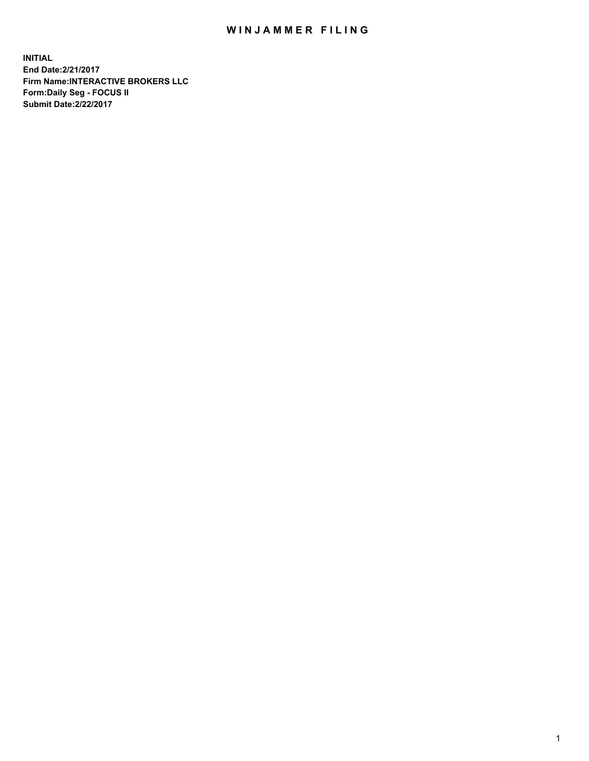## WIN JAMMER FILING

**INITIAL End Date:2/21/2017 Firm Name:INTERACTIVE BROKERS LLC Form:Daily Seg - FOCUS II Submit Date:2/22/2017**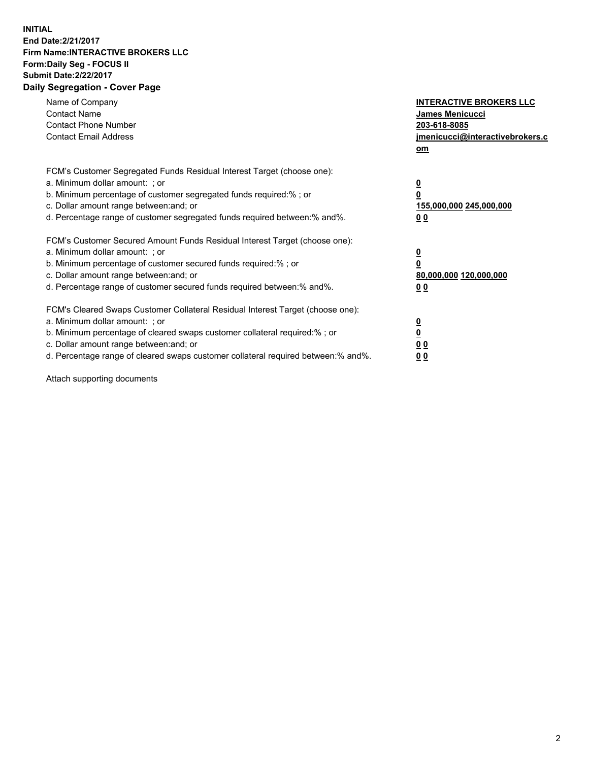## **INITIAL End Date:2/21/2017 Firm Name:INTERACTIVE BROKERS LLC Form:Daily Seg - FOCUS II Submit Date:2/22/2017 Daily Segregation - Cover Page**

| Name of Company<br><b>Contact Name</b><br><b>Contact Phone Number</b><br><b>Contact Email Address</b>                                                                                                                                                                                                                          | <b>INTERACTIVE BROKERS LLC</b><br><b>James Menicucci</b><br>203-618-8085<br>jmenicucci@interactivebrokers.c<br>om |
|--------------------------------------------------------------------------------------------------------------------------------------------------------------------------------------------------------------------------------------------------------------------------------------------------------------------------------|-------------------------------------------------------------------------------------------------------------------|
| FCM's Customer Segregated Funds Residual Interest Target (choose one):<br>a. Minimum dollar amount: ; or<br>b. Minimum percentage of customer segregated funds required:%; or<br>c. Dollar amount range between: and; or<br>d. Percentage range of customer segregated funds required between:% and%.                          | $\overline{\mathbf{0}}$<br>0<br>155,000,000 245,000,000<br>0 <sub>0</sub>                                         |
| FCM's Customer Secured Amount Funds Residual Interest Target (choose one):<br>a. Minimum dollar amount: ; or<br>b. Minimum percentage of customer secured funds required:%; or<br>c. Dollar amount range between: and; or<br>d. Percentage range of customer secured funds required between: % and %.                          | $\overline{\mathbf{0}}$<br>0<br>80,000,000 120,000,000<br>0 <sub>0</sub>                                          |
| FCM's Cleared Swaps Customer Collateral Residual Interest Target (choose one):<br>a. Minimum dollar amount: ; or<br>b. Minimum percentage of cleared swaps customer collateral required:% ; or<br>c. Dollar amount range between: and; or<br>d. Percentage range of cleared swaps customer collateral required between:% and%. | $\overline{\mathbf{0}}$<br>$\overline{\mathbf{0}}$<br>0 <sub>0</sub><br><u>00</u>                                 |

Attach supporting documents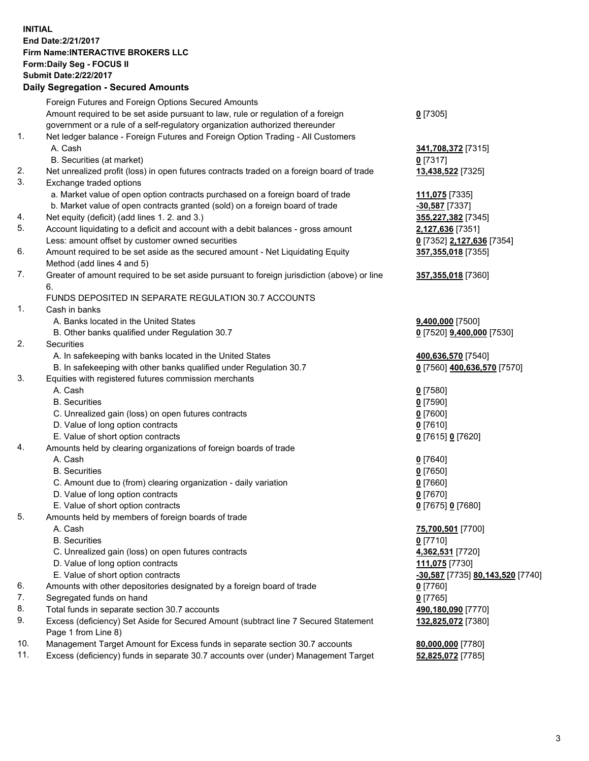## **INITIAL End Date:2/21/2017 Firm Name:INTERACTIVE BROKERS LLC Form:Daily Seg - FOCUS II Submit Date:2/22/2017 Daily Segregation - Secured Amounts**

|     | Daily Segregation - Secured Amounts                                                         |                                  |
|-----|---------------------------------------------------------------------------------------------|----------------------------------|
|     | Foreign Futures and Foreign Options Secured Amounts                                         |                                  |
|     | Amount required to be set aside pursuant to law, rule or regulation of a foreign            | $0$ [7305]                       |
|     | government or a rule of a self-regulatory organization authorized thereunder                |                                  |
| 1.  | Net ledger balance - Foreign Futures and Foreign Option Trading - All Customers             |                                  |
|     | A. Cash                                                                                     | 341,708,372 [7315]               |
|     | B. Securities (at market)                                                                   | $0$ [7317]                       |
| 2.  | Net unrealized profit (loss) in open futures contracts traded on a foreign board of trade   | 13,438,522 [7325]                |
| 3.  |                                                                                             |                                  |
|     | Exchange traded options                                                                     |                                  |
|     | a. Market value of open option contracts purchased on a foreign board of trade              | 111,075 [7335]                   |
|     | b. Market value of open contracts granted (sold) on a foreign board of trade                | -30,587 [7337]                   |
| 4.  | Net equity (deficit) (add lines 1. 2. and 3.)                                               | 355,227,382 [7345]               |
| 5.  | Account liquidating to a deficit and account with a debit balances - gross amount           | 2,127,636 [7351]                 |
|     | Less: amount offset by customer owned securities                                            | 0 [7352] 2,127,636 [7354]        |
| 6.  | Amount required to be set aside as the secured amount - Net Liquidating Equity              | 357,355,018 [7355]               |
|     | Method (add lines 4 and 5)                                                                  |                                  |
| 7.  | Greater of amount required to be set aside pursuant to foreign jurisdiction (above) or line | 357,355,018 [7360]               |
|     | 6.                                                                                          |                                  |
|     | FUNDS DEPOSITED IN SEPARATE REGULATION 30.7 ACCOUNTS                                        |                                  |
| 1.  | Cash in banks                                                                               |                                  |
|     | A. Banks located in the United States                                                       | 9,400,000 [7500]                 |
|     | B. Other banks qualified under Regulation 30.7                                              | 0 [7520] 9,400,000 [7530]        |
| 2.  | Securities                                                                                  |                                  |
|     | A. In safekeeping with banks located in the United States                                   | 400,636,570 [7540]               |
|     | B. In safekeeping with other banks qualified under Regulation 30.7                          | 0 [7560] 400,636,570 [7570]      |
| 3.  | Equities with registered futures commission merchants                                       |                                  |
|     | A. Cash                                                                                     | $0$ [7580]                       |
|     | <b>B.</b> Securities                                                                        | $0$ [7590]                       |
|     | C. Unrealized gain (loss) on open futures contracts                                         | $0$ [7600]                       |
|     | D. Value of long option contracts                                                           | $0$ [7610]                       |
|     | E. Value of short option contracts                                                          | 0 [7615] 0 [7620]                |
| 4.  | Amounts held by clearing organizations of foreign boards of trade                           |                                  |
|     | A. Cash                                                                                     | $0$ [7640]                       |
|     | <b>B.</b> Securities                                                                        | $0$ [7650]                       |
|     | C. Amount due to (from) clearing organization - daily variation                             | $0$ [7660]                       |
|     | D. Value of long option contracts                                                           | $0$ [7670]                       |
|     | E. Value of short option contracts                                                          | 0 [7675] 0 [7680]                |
| 5.  | Amounts held by members of foreign boards of trade                                          |                                  |
|     | A. Cash                                                                                     | 75,700,501 [7700]                |
|     | <b>B.</b> Securities                                                                        | $0$ [7710]                       |
|     | C. Unrealized gain (loss) on open futures contracts                                         | 4,362,531 [7720]                 |
|     | D. Value of long option contracts                                                           | 111,075 [7730]                   |
|     | E. Value of short option contracts                                                          |                                  |
| 6.  | Amounts with other depositories designated by a foreign board of trade                      | -30,587 [7735] 80,143,520 [7740] |
|     |                                                                                             | 0 [7760]                         |
| 7.  | Segregated funds on hand                                                                    | $0$ [7765]                       |
| 8.  | Total funds in separate section 30.7 accounts                                               | 490,180,090 [7770]               |
| 9.  | Excess (deficiency) Set Aside for Secured Amount (subtract line 7 Secured Statement         | 132,825,072 [7380]               |
|     | Page 1 from Line 8)                                                                         |                                  |
| 10. | Management Target Amount for Excess funds in separate section 30.7 accounts                 | 80,000,000 [7780]                |
| 11. | Excess (deficiency) funds in separate 30.7 accounts over (under) Management Target          | 52,825,072 [7785]                |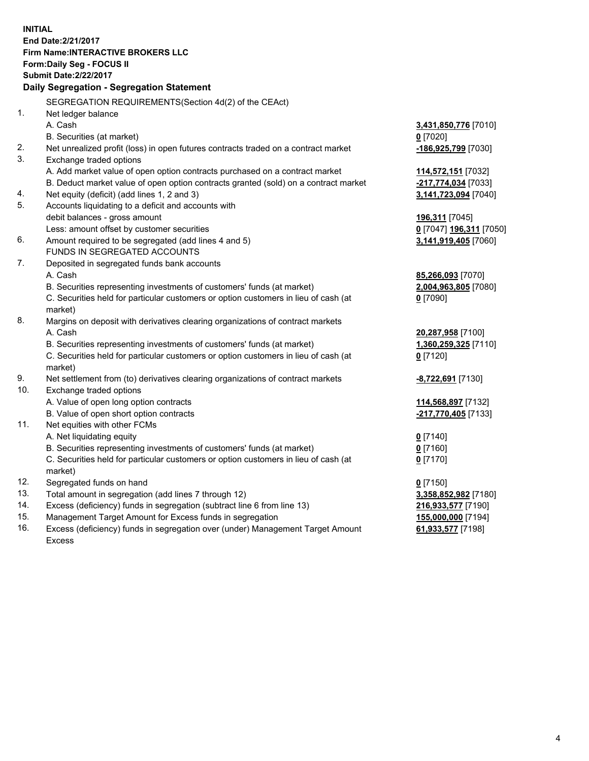**INITIAL End Date:2/21/2017 Firm Name:INTERACTIVE BROKERS LLC Form:Daily Seg - FOCUS II Submit Date:2/22/2017 Daily Segregation - Segregation Statement** SEGREGATION REQUIREMENTS(Section 4d(2) of the CEAct) 1. Net ledger balance A. Cash **3,431,850,776** [7010] B. Securities (at market) **0** [7020] 2. Net unrealized profit (loss) in open futures contracts traded on a contract market **-186,925,799** [7030] 3. Exchange traded options A. Add market value of open option contracts purchased on a contract market **114,572,151** [7032] B. Deduct market value of open option contracts granted (sold) on a contract market **-217,774,034** [7033] 4. Net equity (deficit) (add lines 1, 2 and 3) **3,141,723,094** [7040] 5. Accounts liquidating to a deficit and accounts with debit balances - gross amount **196,311** [7045] Less: amount offset by customer securities **0** [7047] **196,311** [7050] 6. Amount required to be segregated (add lines 4 and 5) **3,141,919,405** [7060] FUNDS IN SEGREGATED ACCOUNTS 7. Deposited in segregated funds bank accounts A. Cash **85,266,093** [7070] B. Securities representing investments of customers' funds (at market) **2,004,963,805** [7080] C. Securities held for particular customers or option customers in lieu of cash (at market) **0** [7090] 8. Margins on deposit with derivatives clearing organizations of contract markets A. Cash **20,287,958** [7100] B. Securities representing investments of customers' funds (at market) **1,360,259,325** [7110] C. Securities held for particular customers or option customers in lieu of cash (at market) **0** [7120] 9. Net settlement from (to) derivatives clearing organizations of contract markets **-8,722,691** [7130] 10. Exchange traded options A. Value of open long option contracts **114,568,897** [7132] B. Value of open short option contracts **-217,770,405** [7133] 11. Net equities with other FCMs A. Net liquidating equity **0** [7140] B. Securities representing investments of customers' funds (at market) **0** [7160] C. Securities held for particular customers or option customers in lieu of cash (at market) **0** [7170] 12. Segregated funds on hand **0** [7150] 13. Total amount in segregation (add lines 7 through 12) **3,358,852,982** [7180] 14. Excess (deficiency) funds in segregation (subtract line 6 from line 13) **216,933,577** [7190] 15. Management Target Amount for Excess funds in segregation **155,000,000** [7194]

16. Excess (deficiency) funds in segregation over (under) Management Target Amount Excess

**61,933,577** [7198]